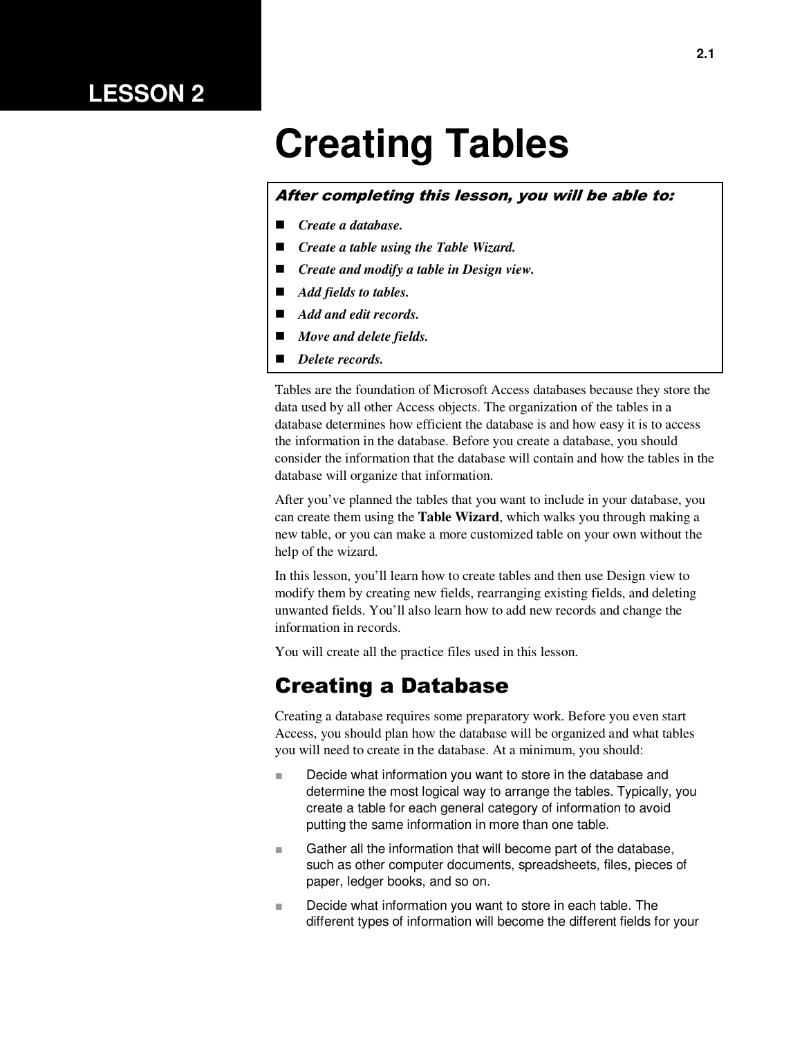# **LESSON 2**

# **Creating Tables**

#### After completing this lesson, you will be able to:

- *Create a database.*
- *Create a table using the Table Wizard.*
- *Create and modify a table in Design view.*
- *Add fields to tables.*
- *Add and edit records.*
- *Move and delete fields.*
- *Delete records.*

Tables are the foundation of Microsoft Access databases because they store the data used by all other Access objects. The organization of the tables in a database determines how efficient the database is and how easy it is to access the information in the database. Before you create a database, you should consider the information that the database will contain and how the tables in the database will organize that information.

After you've planned the tables that you want to include in your database, you can create them using the **Table Wizard**, which walks you through making a new table, or you can make a more customized table on your own without the help of the wizard.

In this lesson, you'll learn how to create tables and then use Design view to modify them by creating new fields, rearranging existing fields, and deleting unwanted fields. You'll also learn how to add new records and change the information in records.

You will create all the practice files used in this lesson.

### Creating a Database

Creating a database requires some preparatory work. Before you even start Access, you should plan how the database will be organized and what tables you will need to create in the database. At a minimum, you should:

- Decide what information you want to store in the database and determine the most logical way to arrange the tables. Typically, you create a table for each general category of information to avoid putting the same information in more than one table.
- Gather all the information that will become part of the database, such as other computer documents, spreadsheets, files, pieces of paper, ledger books, and so on.
- Decide what information you want to store in each table. The different types of information will become the different fields for your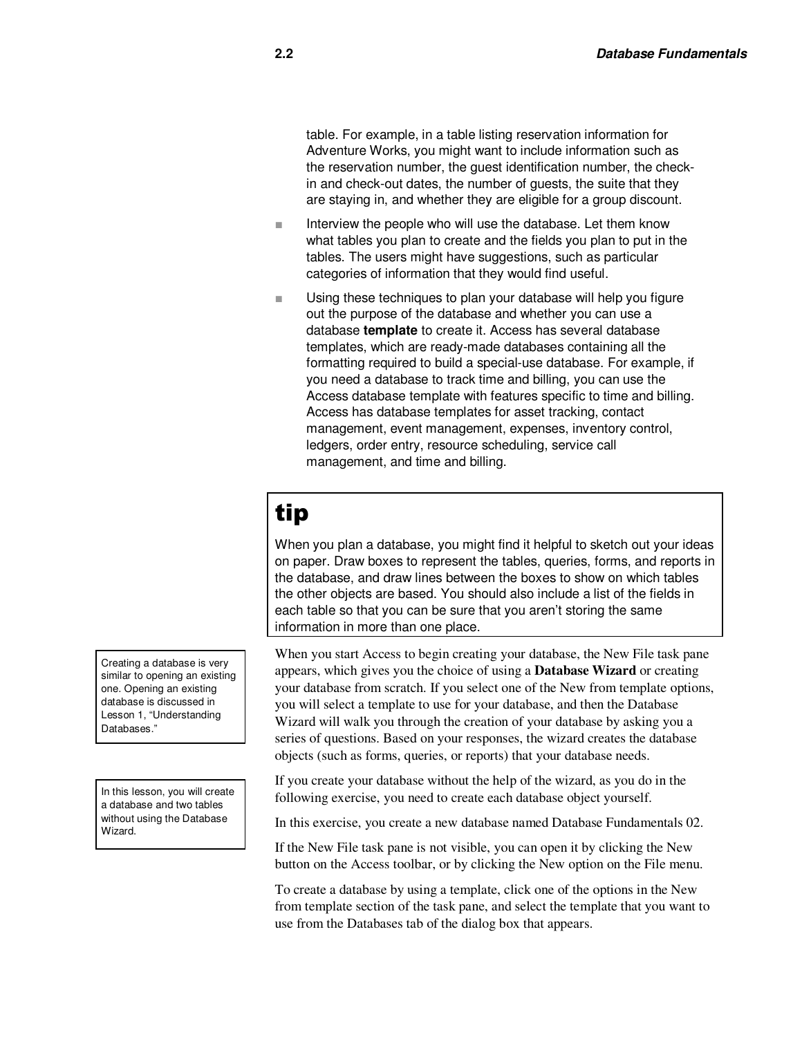table. For example, in a table listing reservation information for Adventure Works, you might want to include information such as the reservation number, the guest identification number, the checkin and check-out dates, the number of guests, the suite that they are staying in, and whether they are eligible for a group discount.

- Interview the people who will use the database. Let them know what tables you plan to create and the fields you plan to put in the tables. The users might have suggestions, such as particular categories of information that they would find useful.
- Using these techniques to plan your database will help you figure out the purpose of the database and whether you can use a database **template** to create it. Access has several database templates, which are ready-made databases containing all the formatting required to build a special-use database. For example, if you need a database to track time and billing, you can use the Access database template with features specific to time and billing. Access has database templates for asset tracking, contact management, event management, expenses, inventory control, ledgers, order entry, resource scheduling, service call management, and time and billing.

# tip

When you plan a database, you might find it helpful to sketch out your ideas on paper. Draw boxes to represent the tables, queries, forms, and reports in the database, and draw lines between the boxes to show on which tables the other objects are based. You should also include a list of the fields in each table so that you can be sure that you aren't storing the same information in more than one place.

When you start Access to begin creating your database, the New File task pane appears, which gives you the choice of using a **Database Wizard** or creating your database from scratch. If you select one of the New from template options, you will select a template to use for your database, and then the Database Wizard will walk you through the creation of your database by asking you a series of questions. Based on your responses, the wizard creates the database objects (such as forms, queries, or reports) that your database needs.

If you create your database without the help of the wizard, as you do in the following exercise, you need to create each database object yourself.

In this exercise, you create a new database named Database Fundamentals 02.

If the New File task pane is not visible, you can open it by clicking the New button on the Access toolbar, or by clicking the New option on the File menu.

To create a database by using a template, click one of the options in the New from template section of the task pane, and select the template that you want to use from the Databases tab of the dialog box that appears.

Creating a database is very similar to opening an existing one. Opening an existing database is discussed in Lesson 1, "Understanding Databases."

In this lesson, you will create a database and two tables without using the Database Wizard.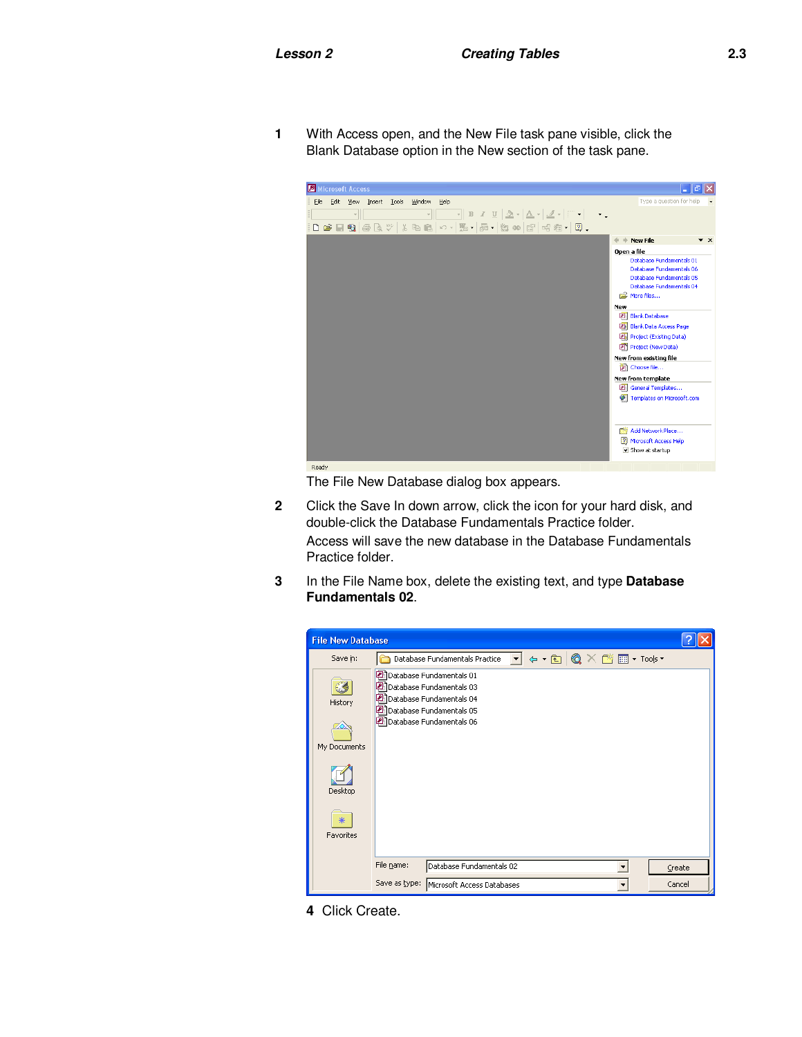**1** With Access open, and the New File task pane visible, click the Blank Database option in the New section of the task pane.



The File New Database dialog box appears.

- **2** Click the Save In down arrow, click the icon for your hard disk, and double-click the Database Fundamentals Practice folder. Access will save the new database in the Database Fundamentals Practice folder.
- **3** In the File Name box, delete the existing text, and type **Database Fundamentals 02**.



**4** Click Create.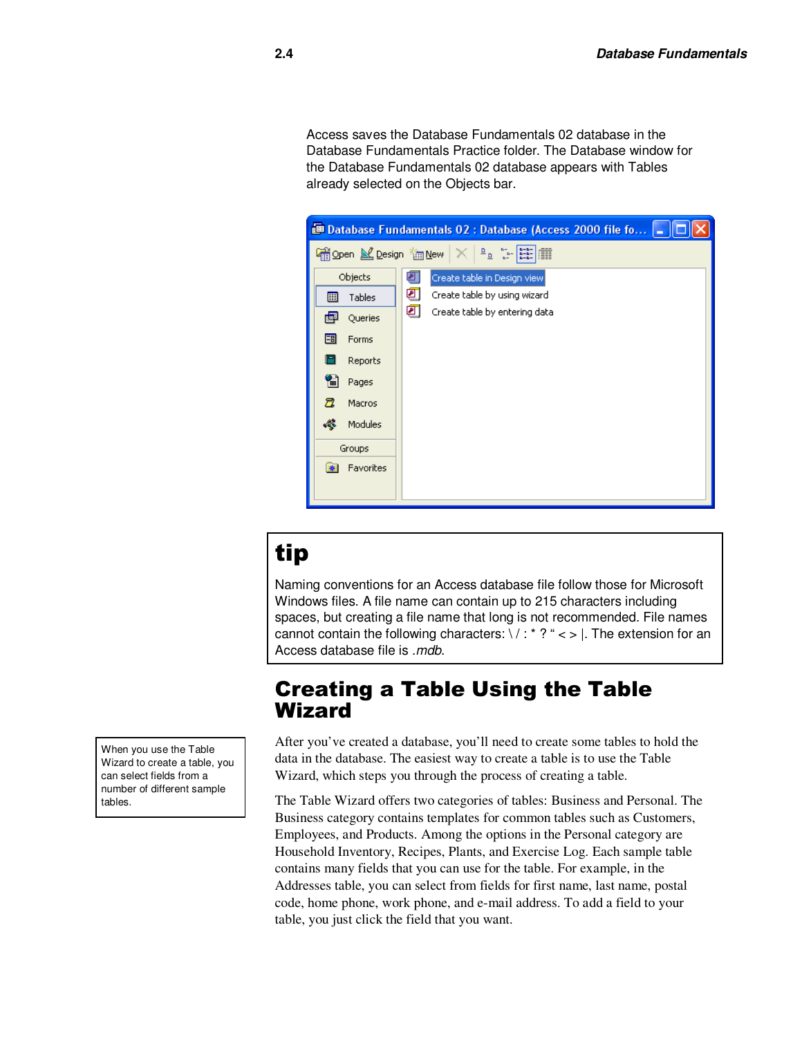Access saves the Database Fundamentals 02 database in the Database Fundamentals Practice folder. The Database window for the Database Fundamentals 02 database appears with Tables already selected on the Objects bar.

| $\begin{tabular}{ c c c c c } \hline $\Delta$ & $\Delta$ & $\Delta$ \\ \hline $\Delta$ & $\Delta$ & $\Delta$ & $\Delta$ \\ \hline $\Delta$ & $\Delta$ & $\Delta$ & $\Delta$ \\ \hline $\Delta$ & $\Delta$ & $\Delta$ & $\Delta$ \\ \hline $\Delta$ & $\Delta$ & $\Delta$ & $\Delta$ \\ \hline $\Delta$ & $\Delta$ & $\Delta$ & $\Delta$ \\ \hline $\Delta$ & $\Delta$ & $\Delta$ & $\Delta$ \\ \hline $\Delta$ & $\Delta$ & $\Delta$ & $\Delta$ \\ \hline $\Delta$ & $\Delta$ & $\Delta$ & $\Delta$ \\ \hline $\Delta$ & $\Delta$ & $\Delta$ & $\Delta$ \\ \hline $\Delta$ & $\Delta$ & $\Delta$ & $\$<br>i Open M Design <sup>*</sup> Mew<br>Objects<br>Create table in Design view<br>₽<br>ॻ<br>Create table by using wizard<br>Tables<br>團 |
|-----------------------------------------------------------------------------------------------------------------------------------------------------------------------------------------------------------------------------------------------------------------------------------------------------------------------------------------------------------------------------------------------------------------------------------------------------------------------------------------------------------------------------------------------------------------------------------------------------------------------------------------------------------------------------------------------------------------------------------------------|
|                                                                                                                                                                                                                                                                                                                                                                                                                                                                                                                                                                                                                                                                                                                                               |
|                                                                                                                                                                                                                                                                                                                                                                                                                                                                                                                                                                                                                                                                                                                                               |
|                                                                                                                                                                                                                                                                                                                                                                                                                                                                                                                                                                                                                                                                                                                                               |
| ॻ<br>Create table by entering data<br>團<br>Queries                                                                                                                                                                                                                                                                                                                                                                                                                                                                                                                                                                                                                                                                                            |
| 闇<br>Forms                                                                                                                                                                                                                                                                                                                                                                                                                                                                                                                                                                                                                                                                                                                                    |
| ¦ –<br>Reports                                                                                                                                                                                                                                                                                                                                                                                                                                                                                                                                                                                                                                                                                                                                |
| 僃<br>Pages                                                                                                                                                                                                                                                                                                                                                                                                                                                                                                                                                                                                                                                                                                                                    |
| 暠<br>Macros                                                                                                                                                                                                                                                                                                                                                                                                                                                                                                                                                                                                                                                                                                                                   |
| æ<br>Modules                                                                                                                                                                                                                                                                                                                                                                                                                                                                                                                                                                                                                                                                                                                                  |
| Groups                                                                                                                                                                                                                                                                                                                                                                                                                                                                                                                                                                                                                                                                                                                                        |
| Favorites                                                                                                                                                                                                                                                                                                                                                                                                                                                                                                                                                                                                                                                                                                                                     |
|                                                                                                                                                                                                                                                                                                                                                                                                                                                                                                                                                                                                                                                                                                                                               |

# tip

Naming conventions for an Access database file follow those for Microsoft Windows files. A file name can contain up to 215 characters including spaces, but creating a file name that long is not recommended. File names cannot contain the following characters:  $\sqrt{$ : \* ? " < > |. The extension for an Access database file is *.mdb*.

### Creating a Table Using the Table Wizard

After you've created a database, you'll need to create some tables to hold the data in the database. The easiest way to create a table is to use the Table Wizard, which steps you through the process of creating a table.

The Table Wizard offers two categories of tables: Business and Personal. The Business category contains templates for common tables such as Customers, Employees, and Products. Among the options in the Personal category are Household Inventory, Recipes, Plants, and Exercise Log. Each sample table contains many fields that you can use for the table. For example, in the Addresses table, you can select from fields for first name, last name, postal code, home phone, work phone, and e-mail address. To add a field to your table, you just click the field that you want.

When you use the Table Wizard to create a table, you can select fields from a number of different sample tables.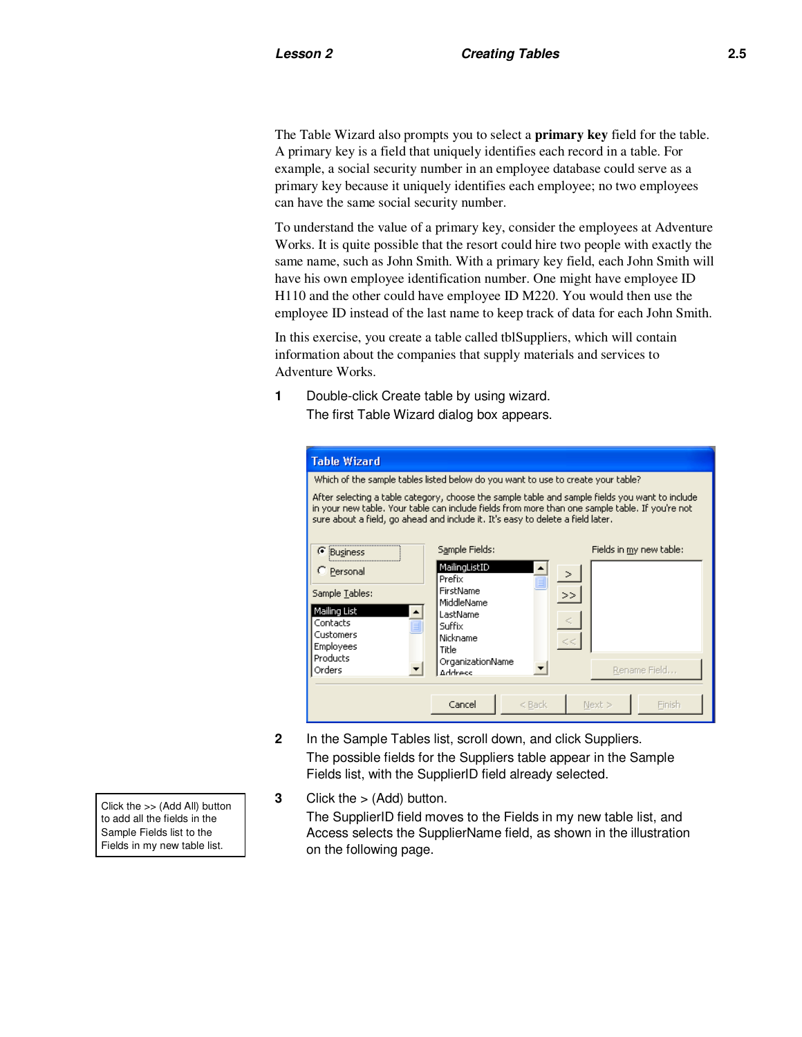The Table Wizard also prompts you to select a **primary key** field for the table. A primary key is a field that uniquely identifies each record in a table. For example, a social security number in an employee database could serve as a primary key because it uniquely identifies each employee; no two employees can have the same social security number.

To understand the value of a primary key, consider the employees at Adventure Works. It is quite possible that the resort could hire two people with exactly the same name, such as John Smith. With a primary key field, each John Smith will have his own employee identification number. One might have employee ID H110 and the other could have employee ID M220. You would then use the employee ID instead of the last name to keep track of data for each John Smith.

In this exercise, you create a table called tblSuppliers, which will contain information about the companies that supply materials and services to Adventure Works.

**1** Double-click Create table by using wizard. The first Table Wizard dialog box appears.

| Table Wizard                                                                                                                                                                                                                                                                          |                                                                        |                         |  |  |  |  |
|---------------------------------------------------------------------------------------------------------------------------------------------------------------------------------------------------------------------------------------------------------------------------------------|------------------------------------------------------------------------|-------------------------|--|--|--|--|
| Which of the sample tables listed below do you want to use to create your table?                                                                                                                                                                                                      |                                                                        |                         |  |  |  |  |
| After selecting a table category, choose the sample table and sample fields you want to include<br>in your new table. Your table can include fields from more than one sample table. If you're not<br>sure about a field, go ahead and include it. It's easy to delete a field later, |                                                                        |                         |  |  |  |  |
| G<br>Business                                                                                                                                                                                                                                                                         | Sample Fields:                                                         | Fields in my new table: |  |  |  |  |
| C Personal                                                                                                                                                                                                                                                                            | MailingListID<br>Prefix                                                | $\geq$                  |  |  |  |  |
| Sample Tables:                                                                                                                                                                                                                                                                        | FirstName<br>MiddleName                                                | >>                      |  |  |  |  |
| Mailing List<br>٠<br>Contacts<br>Ξ<br>Customers<br><b>Employees</b><br>Products<br>Orders                                                                                                                                                                                             | LastName<br>Suffix<br>Nickname<br>Title<br>OrganizationName<br>Address | Rename Field            |  |  |  |  |
|                                                                                                                                                                                                                                                                                       | Cancel<br>$<$ Back                                                     | Next ><br>Finish        |  |  |  |  |

- **2** In the Sample Tables list, scroll down, and click Suppliers. The possible fields for the Suppliers table appear in the Sample Fields list, with the SupplierID field already selected.
- **3** Click the > (Add) button.

The SupplierID field moves to the Fields in my new table list, and Access selects the SupplierName field, as shown in the illustration on the following page.

Click the >> (Add All) button to add all the fields in the Sample Fields list to the Fields in my new table list.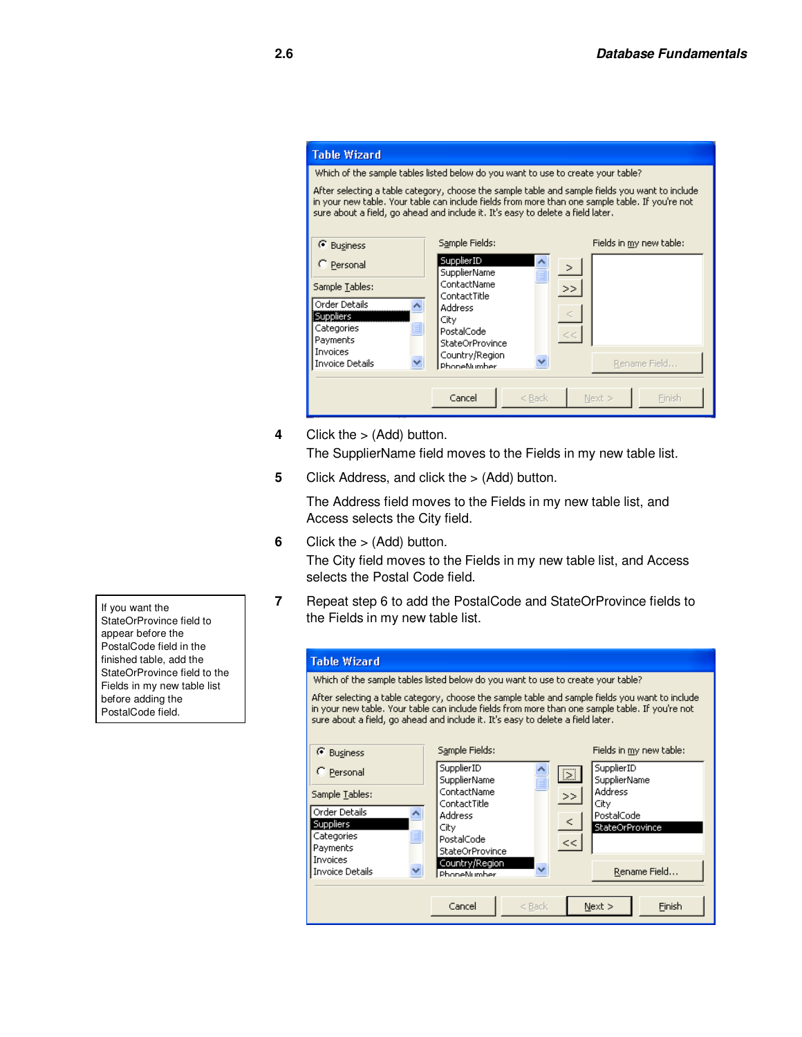

**4** Click the > (Add) button.

The SupplierName field moves to the Fields in my new table list.

**5** Click Address, and click the > (Add) button.

 The Address field moves to the Fields in my new table list, and Access selects the City field.

**6** Click the > (Add) button.

The City field moves to the Fields in my new table list, and Access selects the Postal Code field.

**7** Repeat step 6 to add the PostalCode and StateOrProvince fields to the Fields in my new table list.

| <b>Table Wizard</b>                                                                                                                                                                                                                                                                   |                               |        |                                   |        |  |  |
|---------------------------------------------------------------------------------------------------------------------------------------------------------------------------------------------------------------------------------------------------------------------------------------|-------------------------------|--------|-----------------------------------|--------|--|--|
| Which of the sample tables listed below do you want to use to create your table?                                                                                                                                                                                                      |                               |        |                                   |        |  |  |
| After selecting a table category, choose the sample table and sample fields you want to include<br>in your new table. Your table can include fields from more than one sample table. If you're not<br>sure about a field, go ahead and include it. It's easy to delete a field later. |                               |        |                                   |        |  |  |
| <b>6</b> Business                                                                                                                                                                                                                                                                     | Sample Fields:                |        | Fields in my new table:           |        |  |  |
| C Personal                                                                                                                                                                                                                                                                            | SupplierID<br>SupplierName    | $\sum$ | SupplierID<br><b>SupplierName</b> |        |  |  |
| Sample Tables:                                                                                                                                                                                                                                                                        | ContactName<br>ContactTitle   | >      | Address<br>City                   |        |  |  |
| Order Details<br>$\hat{\phantom{a}}$<br>Suppliers                                                                                                                                                                                                                                     | Address                       | $\leq$ | PostalCode                        |        |  |  |
| Ξ<br>Categories                                                                                                                                                                                                                                                                       | City<br>PostalCode            | <<     | StateOrProvince                   |        |  |  |
| Payments<br>Invoices                                                                                                                                                                                                                                                                  | StateOrProvince               |        |                                   |        |  |  |
| <b>Invoice Details</b>                                                                                                                                                                                                                                                                | Country/Region<br>PhoneNumber |        | Rename Field                      |        |  |  |
|                                                                                                                                                                                                                                                                                       | Cancel<br>$<$ Back            |        | Next >                            | Finish |  |  |

If you want the StateOrProvince field to appear before the PostalCode field in the finished table, add the StateOrProvince field to the Fields in my new table list before adding the PostalCode field.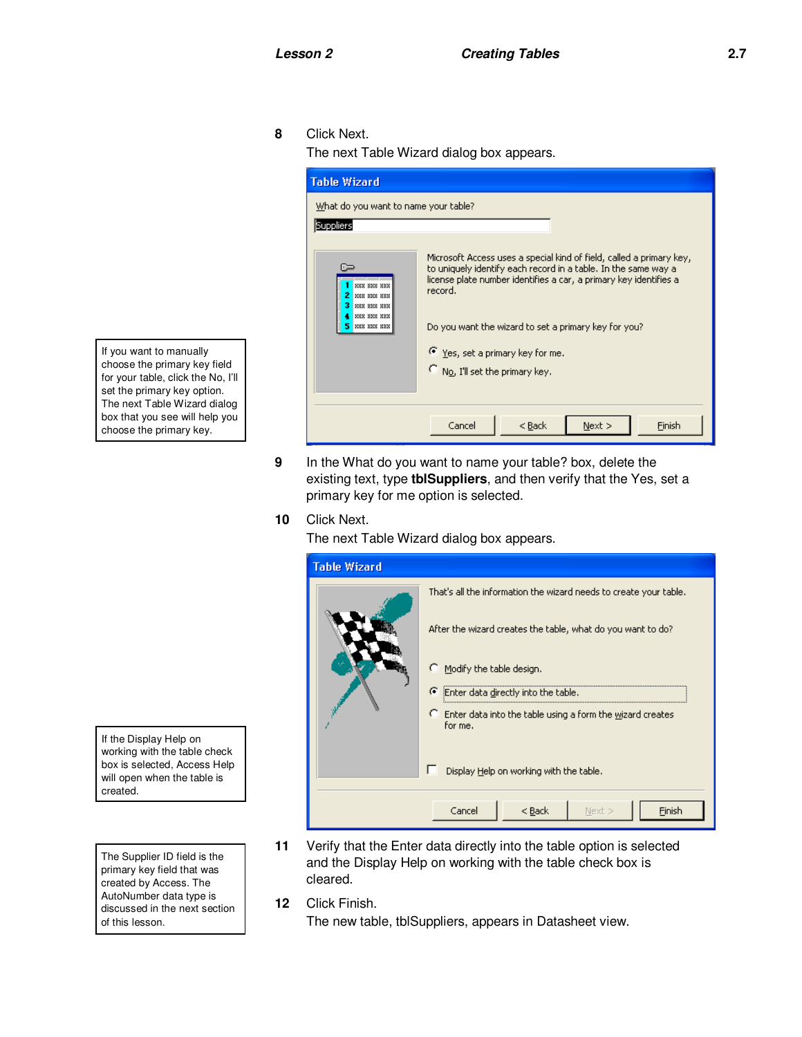**8** Click Next.

The next Table Wizard dialog box appears.



**9** In the What do you want to name your table? box, delete the existing text, type **tblSuppliers**, and then verify that the Yes, set a primary key for me option is selected.

#### **10** Click Next.

The next Table Wizard dialog box appears.

| <b>Table Wizard</b>                     |                                                                        |  |  |  |  |
|-----------------------------------------|------------------------------------------------------------------------|--|--|--|--|
|                                         | That's all the information the wizard needs to create your table.      |  |  |  |  |
|                                         | After the wizard creates the table, what do you want to do?            |  |  |  |  |
|                                         | C.<br>Modify the table design.                                         |  |  |  |  |
|                                         | F Enter data directly into the table.                                  |  |  |  |  |
|                                         | C Enter data into the table using a form the wizard creates<br>for me. |  |  |  |  |
| Display Help on working with the table. |                                                                        |  |  |  |  |
|                                         | Cancel<br>Finish<br>$<$ Back<br>Next >                                 |  |  |  |  |

- **11** Verify that the Enter data directly into the table option is selected and the Display Help on working with the table check box is cleared.
- **12** Click Finish.

The new table, tblSuppliers, appears in Datasheet view.

If you want to manually choose the primary key field for your table, click the No, I'll set the primary key option. The next Table Wizard dialog box that you see will help you choose the primary key.

If the Display Help on working with the table check box is selected, Access Help will open when the table is created.

The Supplier ID field is the primary key field that was created by Access. The AutoNumber data type is discussed in the next section of this lesson.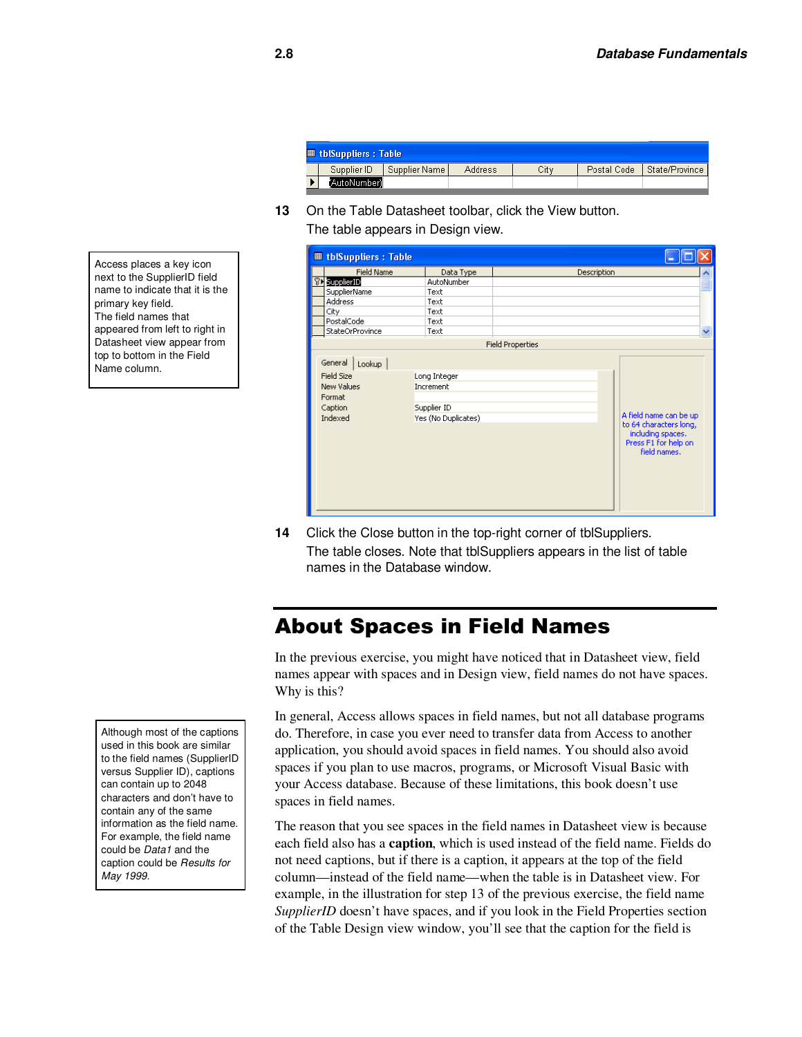| <b>■ tblSuppliers : Table</b> |              |               |         |      |  |                              |
|-------------------------------|--------------|---------------|---------|------|--|------------------------------|
|                               | Supplier ID  | Supplier Name | Address | City |  | Postal Code   State/Province |
|                               | 'AutoNumber) |               |         |      |  |                              |

**13** On the Table Datasheet toolbar, click the View button. The table appears in Design view.

| <b>田 tblSuppliers: Table</b>                                                  |                                                                 |                                                                                                               |              |
|-------------------------------------------------------------------------------|-----------------------------------------------------------------|---------------------------------------------------------------------------------------------------------------|--------------|
| <b>Field Name</b>                                                             | Data Type                                                       | Description                                                                                                   |              |
| <b>81 SupplierID</b>                                                          | AutoNumber                                                      |                                                                                                               |              |
| SupplierName                                                                  | Text                                                            |                                                                                                               |              |
| Address                                                                       | Text                                                            |                                                                                                               |              |
| City                                                                          | Text                                                            |                                                                                                               |              |
| PostalCode                                                                    | Text                                                            |                                                                                                               |              |
| StateOrProvince                                                               | Text                                                            |                                                                                                               | $\checkmark$ |
|                                                                               |                                                                 | <b>Field Properties</b>                                                                                       |              |
| General<br>Lookup<br>Field Size<br>New Values<br>Format<br>Caption<br>Indexed | Long Integer<br>Increment<br>Supplier ID<br>Yes (No Duplicates) | A field name can be up<br>to 64 characters long,<br>including spaces.<br>Press F1 for help on<br>field names. |              |

14 Click the Close button in the top-right corner of tblSuppliers. The table closes. Note that tblSuppliers appears in the list of table names in the Database window.

### About Spaces in Field Names

In the previous exercise, you might have noticed that in Datasheet view, field names appear with spaces and in Design view, field names do not have spaces. Why is this?

In general, Access allows spaces in field names, but not all database programs do. Therefore, in case you ever need to transfer data from Access to another application, you should avoid spaces in field names. You should also avoid spaces if you plan to use macros, programs, or Microsoft Visual Basic with your Access database. Because of these limitations, this book doesn't use spaces in field names.

The reason that you see spaces in the field names in Datasheet view is because each field also has a **caption**, which is used instead of the field name. Fields do not need captions, but if there is a caption, it appears at the top of the field column—instead of the field name—when the table is in Datasheet view. For example, in the illustration for step 13 of the previous exercise, the field name *SupplierID* doesn't have spaces, and if you look in the Field Properties section of the Table Design view window, you'll see that the caption for the field is

Access places a key icon next to the SupplierID field name to indicate that it is the primary key field. The field names that appeared from left to right in Datasheet view appear from top to bottom in the Field Name column.

Although most of the captions used in this book are similar to the field names (SupplierID versus Supplier ID), captions can contain up to 2048 characters and don't have to contain any of the same information as the field name. For example, the field name could be *Data1* and the caption could be *Results for May 1999*.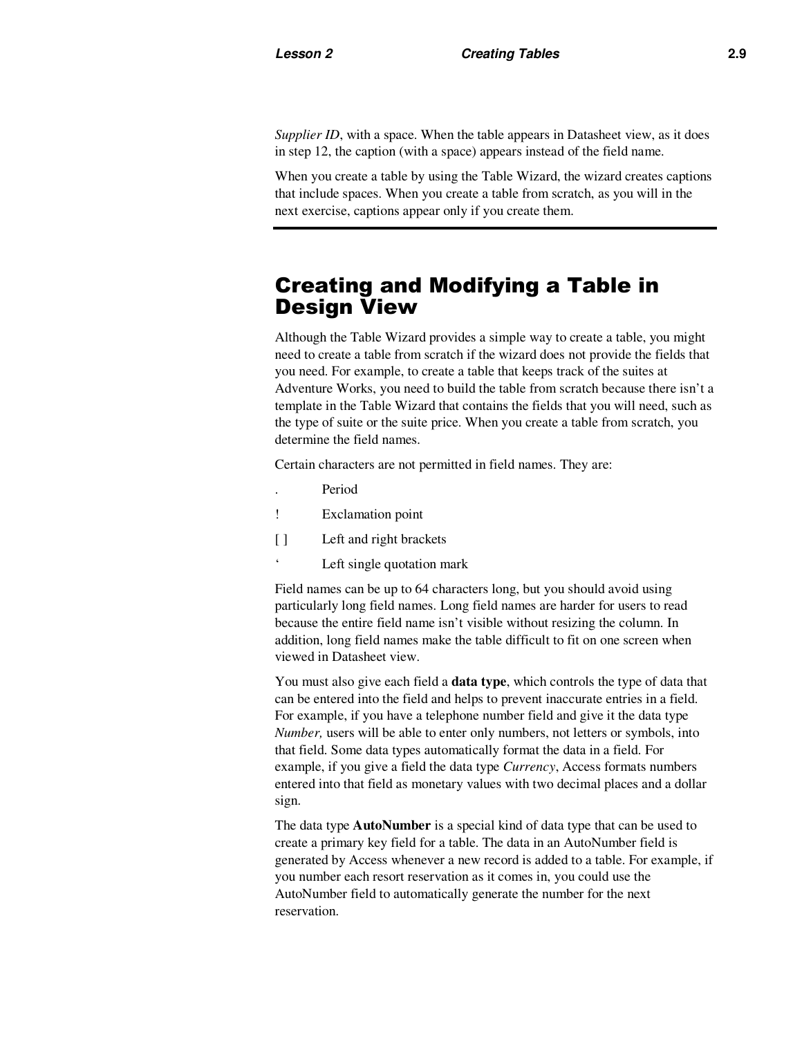*Supplier ID*, with a space. When the table appears in Datasheet view, as it does in step 12, the caption (with a space) appears instead of the field name.

When you create a table by using the Table Wizard, the wizard creates captions that include spaces. When you create a table from scratch, as you will in the next exercise, captions appear only if you create them.

### Creating and Modifying a Table in Design View

Although the Table Wizard provides a simple way to create a table, you might need to create a table from scratch if the wizard does not provide the fields that you need. For example, to create a table that keeps track of the suites at Adventure Works, you need to build the table from scratch because there isn't a template in the Table Wizard that contains the fields that you will need, such as the type of suite or the suite price. When you create a table from scratch, you determine the field names.

Certain characters are not permitted in field names. They are:

- . Period
- ! Exclamation point
- [ ] Left and right brackets
- ' Left single quotation mark

Field names can be up to 64 characters long, but you should avoid using particularly long field names. Long field names are harder for users to read because the entire field name isn't visible without resizing the column. In addition, long field names make the table difficult to fit on one screen when viewed in Datasheet view.

You must also give each field a **data type**, which controls the type of data that can be entered into the field and helps to prevent inaccurate entries in a field. For example, if you have a telephone number field and give it the data type *Number,* users will be able to enter only numbers, not letters or symbols, into that field. Some data types automatically format the data in a field. For example, if you give a field the data type *Currency*, Access formats numbers entered into that field as monetary values with two decimal places and a dollar sign.

The data type **AutoNumber** is a special kind of data type that can be used to create a primary key field for a table. The data in an AutoNumber field is generated by Access whenever a new record is added to a table. For example, if you number each resort reservation as it comes in, you could use the AutoNumber field to automatically generate the number for the next reservation.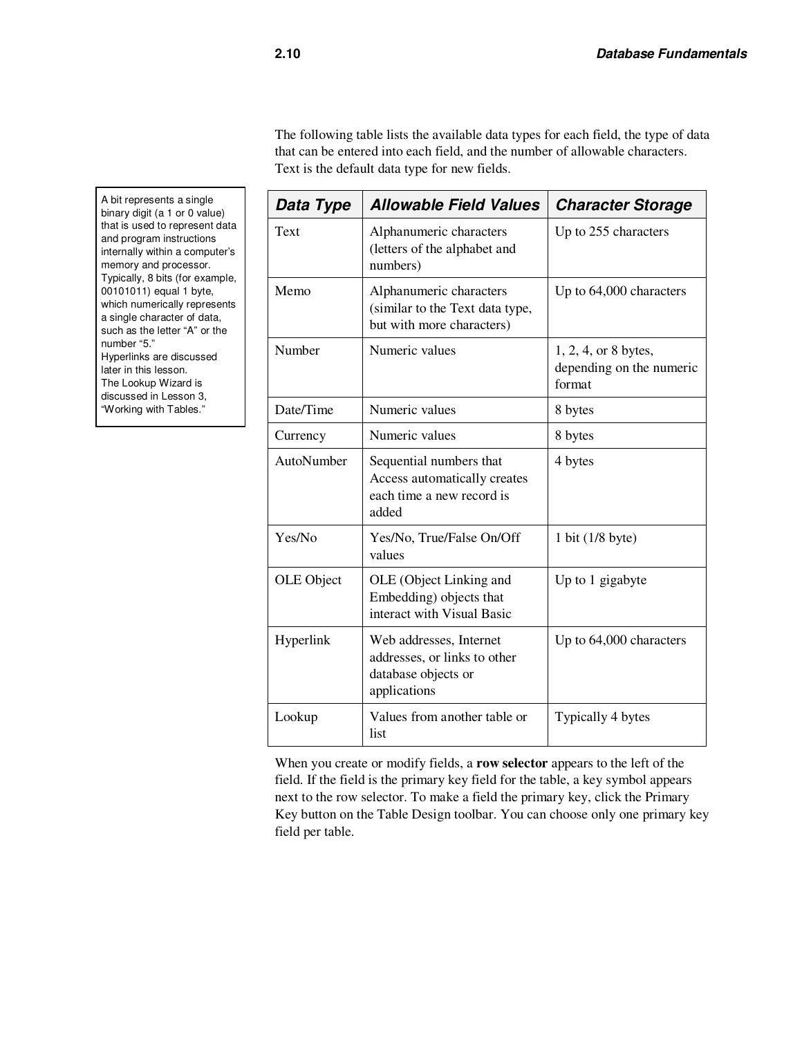The following table lists the available data types for each field, the type of data that can be entered into each field, and the number of allowable characters. Text is the default data type for new fields.

| Data Type  | <b>Allowable Field Values</b>                                                                  | <b>Character Storage</b>                                   |
|------------|------------------------------------------------------------------------------------------------|------------------------------------------------------------|
| Text       | Alphanumeric characters<br>(letters of the alphabet and<br>numbers)                            | Up to 255 characters                                       |
| Memo       | Alphanumeric characters<br>(similar to the Text data type,<br>but with more characters)        | Up to 64,000 characters                                    |
| Number     | Numeric values                                                                                 | 1, 2, 4, or 8 bytes,<br>depending on the numeric<br>format |
| Date/Time  | Numeric values                                                                                 | 8 bytes                                                    |
| Currency   | Numeric values                                                                                 | 8 bytes                                                    |
| AutoNumber | Sequential numbers that<br>Access automatically creates<br>each time a new record is<br>added  | 4 bytes                                                    |
| Yes/No     | Yes/No, True/False On/Off<br>values                                                            | 1 bit (1/8 byte)                                           |
| OLE Object | OLE (Object Linking and<br>Embedding) objects that<br>interact with Visual Basic               | Up to 1 gigabyte                                           |
| Hyperlink  | Web addresses, Internet<br>addresses, or links to other<br>database objects or<br>applications | Up to 64,000 characters                                    |
| Lookup     | Values from another table or<br>list                                                           | Typically 4 bytes                                          |

When you create or modify fields, a **row selector** appears to the left of the field. If the field is the primary key field for the table, a key symbol appears next to the row selector. To make a field the primary key, click the Primary Key button on the Table Design toolbar. You can choose only one primary key field per table.

A bit represents a single binary digit (a 1 or 0 value) that is used to represent data and program instructions internally within a computer's memory and processor. Typically, 8 bits (for example, 00101011) equal 1 byte, which numerically represents a single character of data, such as the letter "A" or the number "5." Hyperlinks are discussed later in this lesson. The Lookup Wizard is discussed in Lesson 3, "Working with Tables."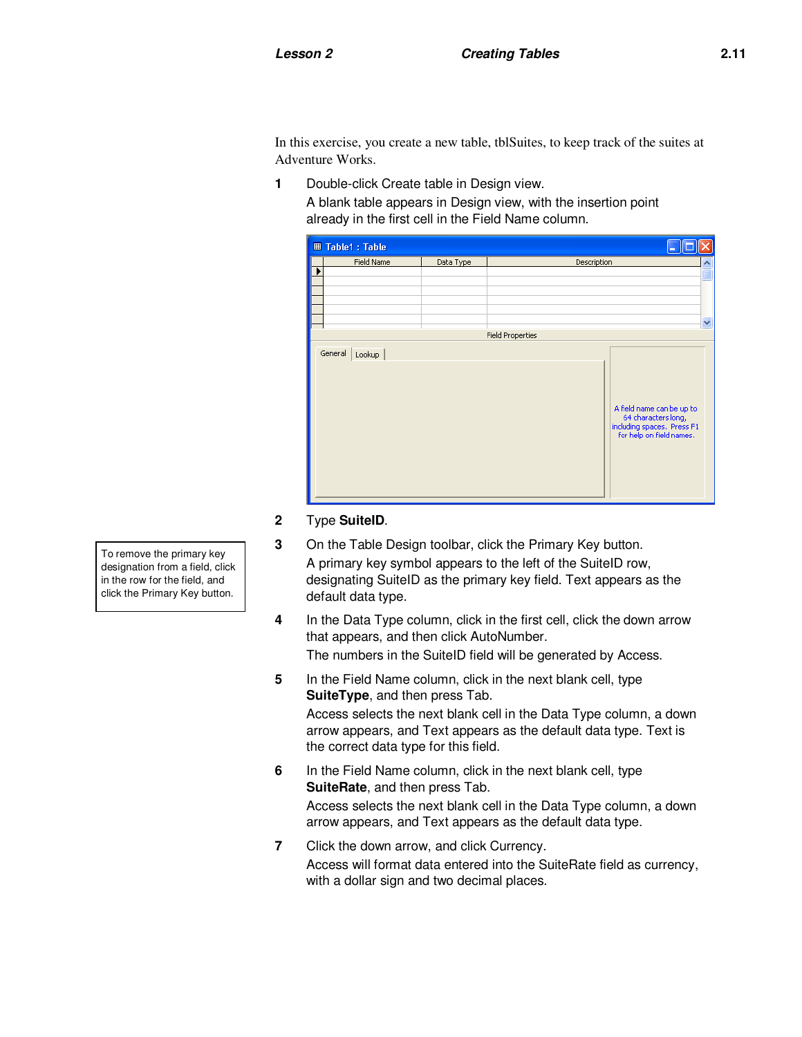In this exercise, you create a new table, tblSuites, to keep track of the suites at Adventure Works.

**1** Double-click Create table in Design view.

A blank table appears in Design view, with the insertion point already in the first cell in the Field Name column.

| <b>Ⅲ Table1: Table</b> |           |                                                                                                            |   |  |  |
|------------------------|-----------|------------------------------------------------------------------------------------------------------------|---|--|--|
| Field Name             | Data Type | Description                                                                                                | ۸ |  |  |
|                        |           |                                                                                                            |   |  |  |
|                        |           |                                                                                                            |   |  |  |
|                        |           |                                                                                                            |   |  |  |
|                        |           |                                                                                                            |   |  |  |
|                        |           |                                                                                                            |   |  |  |
|                        |           |                                                                                                            | v |  |  |
|                        |           | <b>Field Properties</b>                                                                                    |   |  |  |
| General<br>Lookup      |           | A field name can be up to<br>64 characters long,<br>including spaces, Press F1<br>for help on field names, |   |  |  |

#### **2** Type **SuiteID**.

- **3** On the Table Design toolbar, click the Primary Key button. A primary key symbol appears to the left of the SuiteID row, designating SuiteID as the primary key field. Text appears as the default data type.
- **4** In the Data Type column, click in the first cell, click the down arrow that appears, and then click AutoNumber. The numbers in the SuiteID field will be generated by Access.
- **5** In the Field Name column, click in the next blank cell, type **SuiteType**, and then press Tab. Access selects the next blank cell in the Data Type column, a down arrow appears, and Text appears as the default data type. Text is the correct data type for this field.
- **6** In the Field Name column, click in the next blank cell, type **SuiteRate**, and then press Tab. Access selects the next blank cell in the Data Type column, a down arrow appears, and Text appears as the default data type.
- **7** Click the down arrow, and click Currency. Access will format data entered into the SuiteRate field as currency, with a dollar sign and two decimal places.

To remove the primary key designation from a field, click in the row for the field, and click the Primary Key button.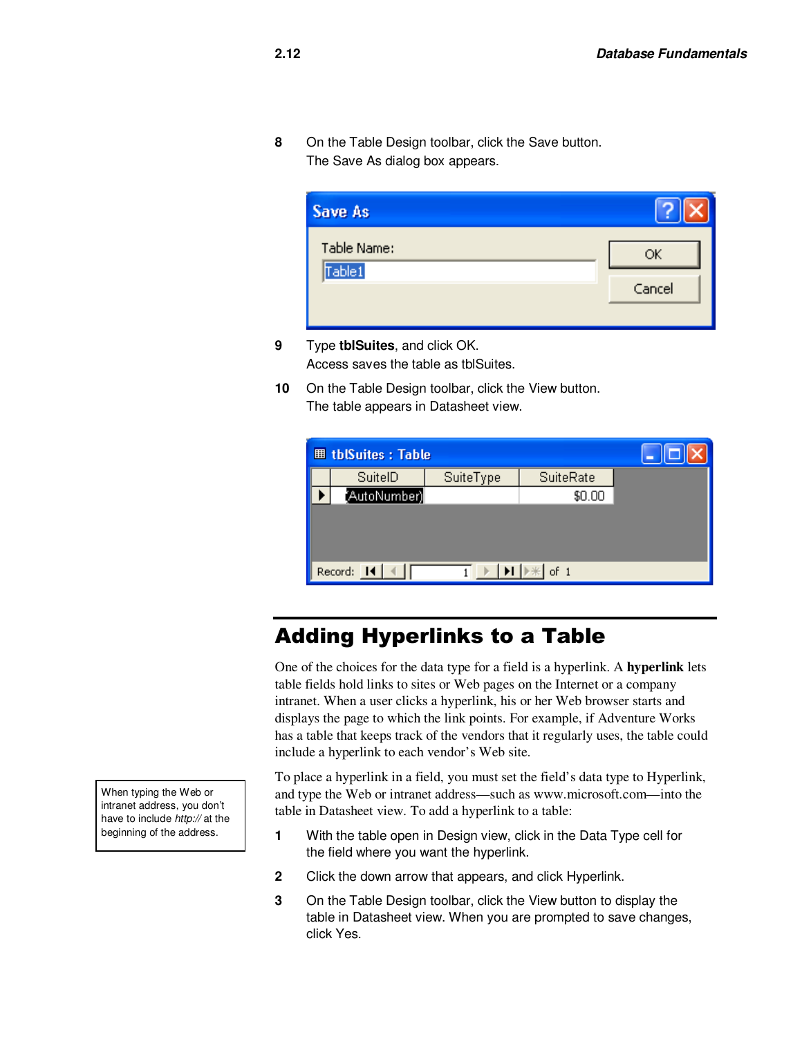**8** On the Table Design toolbar, click the Save button. The Save As dialog box appears.

| Table Name: |        |
|-------------|--------|
| Table1      | ОК     |
|             | Cancel |

- **9** Type **tblSuites**, and click OK. Access saves the table as tblSuites.
- **10** On the Table Design toolbar, click the View button. The table appears in Datasheet view.

| <b>田 tblSuites: Table</b> |                      |           |           |  |  |  |
|---------------------------|----------------------|-----------|-----------|--|--|--|
|                           | SuitelD              | SuiteType | SuiteRate |  |  |  |
|                           | AutoNumber)          |           | \$0.00    |  |  |  |
|                           |                      |           |           |  |  |  |
|                           |                      |           |           |  |  |  |
|                           |                      |           |           |  |  |  |
|                           | Record: 14<br>of $1$ |           |           |  |  |  |

### Adding Hyperlinks to a Table

One of the choices for the data type for a field is a hyperlink. A **hyperlink** lets table fields hold links to sites or Web pages on the Internet or a company intranet. When a user clicks a hyperlink, his or her Web browser starts and displays the page to which the link points. For example, if Adventure Works has a table that keeps track of the vendors that it regularly uses, the table could include a hyperlink to each vendor's Web site.

To place a hyperlink in a field, you must set the field's data type to Hyperlink, and type the Web or intranet address—such as www.microsoft.com—into the table in Datasheet view. To add a hyperlink to a table:

- **1** With the table open in Design view, click in the Data Type cell for the field where you want the hyperlink.
- **2** Click the down arrow that appears, and click Hyperlink.
- **3** On the Table Design toolbar, click the View button to display the table in Datasheet view. When you are prompted to save changes, click Yes.

When typing the Web or intranet address, you don't have to include *http://* at the beginning of the address.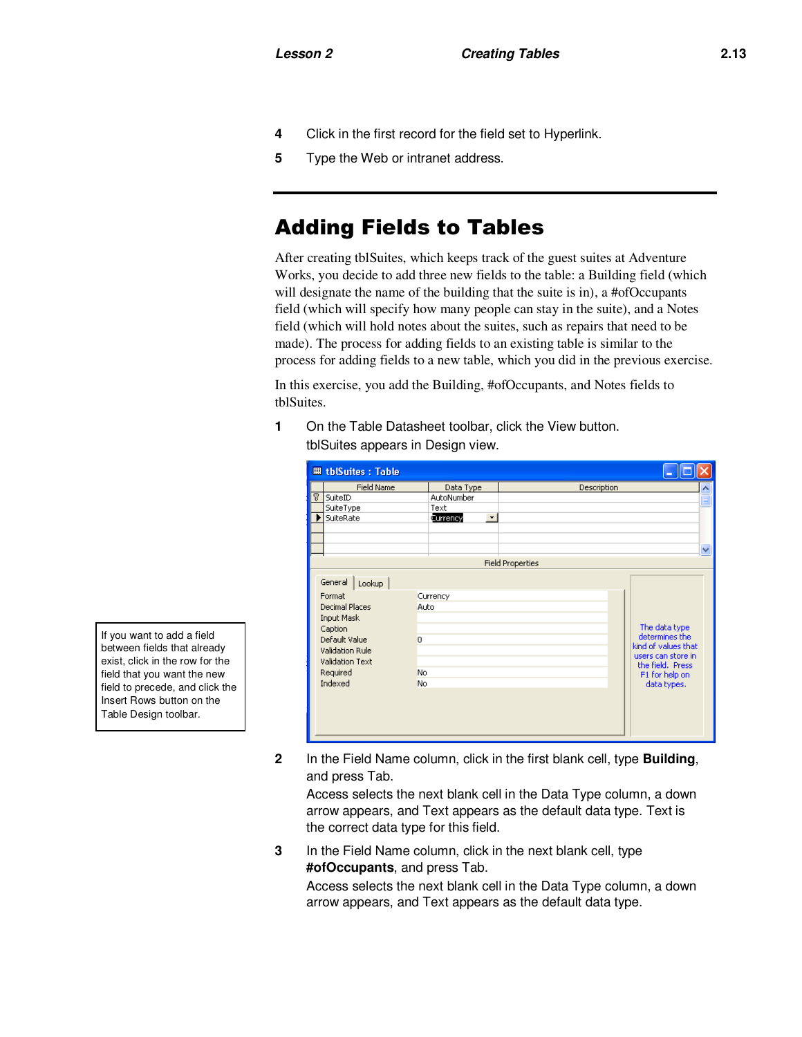- **4** Click in the first record for the field set to Hyperlink.
- **5** Type the Web or intranet address.

# Adding Fields to Tables

After creating tblSuites, which keeps track of the guest suites at Adventure Works, you decide to add three new fields to the table: a Building field (which will designate the name of the building that the suite is in), a #ofOccupants field (which will specify how many people can stay in the suite), and a Notes field (which will hold notes about the suites, such as repairs that need to be made). The process for adding fields to an existing table is similar to the process for adding fields to a new table, which you did in the previous exercise.

In this exercise, you add the Building, #ofOccupants, and Notes fields to tblSuites.

**1** On the Table Datasheet toolbar, click the View button. tblSuites appears in Design view.

|    | <b>囲 tblSuites: Table</b>                                                                                                                            |                                                |                         |                                                                                                                                   |
|----|------------------------------------------------------------------------------------------------------------------------------------------------------|------------------------------------------------|-------------------------|-----------------------------------------------------------------------------------------------------------------------------------|
|    | <b>Field Name</b>                                                                                                                                    | Data Type                                      | Description             |                                                                                                                                   |
| P. | SuiteID                                                                                                                                              | AutoNumber                                     |                         |                                                                                                                                   |
|    | SuiteType                                                                                                                                            | Text                                           |                         |                                                                                                                                   |
| ٠  | SuiteRate                                                                                                                                            | $\overline{\phantom{a}}$<br>Currency           |                         |                                                                                                                                   |
|    |                                                                                                                                                      |                                                |                         |                                                                                                                                   |
|    |                                                                                                                                                      |                                                |                         |                                                                                                                                   |
|    |                                                                                                                                                      |                                                |                         | $\checkmark$                                                                                                                      |
|    |                                                                                                                                                      |                                                | <b>Field Properties</b> |                                                                                                                                   |
|    | General<br>Lookup<br>Format<br>Decimal Places<br>Input Mask<br>Caption<br>Default Value<br>Validation Rule<br>Validation Text<br>Required<br>Indexed | Currency<br>Auto<br>$\overline{0}$<br>No<br>No |                         | The data type<br>determines the<br>kind of values that<br>users can store in<br>the field. Press<br>F1 for help on<br>data types. |

**2** In the Field Name column, click in the first blank cell, type **Building**, and press Tab.

Access selects the next blank cell in the Data Type column, a down arrow appears, and Text appears as the default data type. Text is the correct data type for this field.

**3** In the Field Name column, click in the next blank cell, type **#ofOccupants**, and press Tab.

Access selects the next blank cell in the Data Type column, a down arrow appears, and Text appears as the default data type.

If you want to add a field between fields that already exist, click in the row for the field that you want the new field to precede, and click the Insert Rows button on the Table Design toolbar.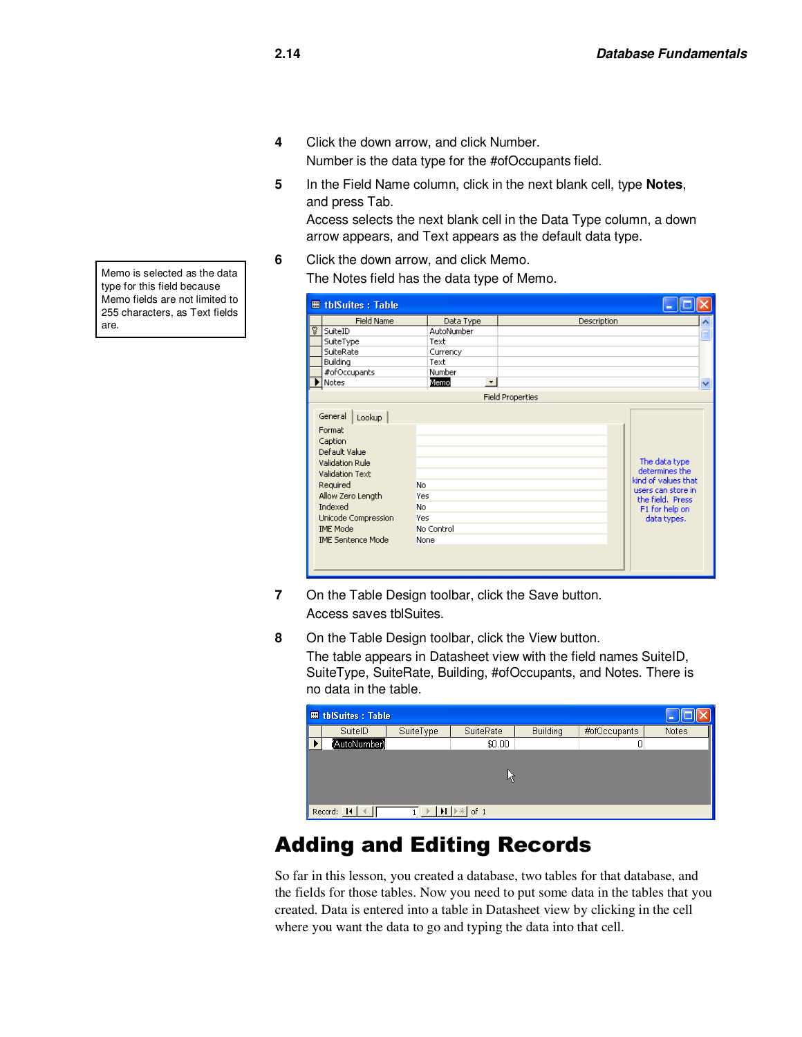- **4** Click the down arrow, and click Number. Number is the data type for the #ofOccupants field.
- **5** In the Field Name column, click in the next blank cell, type **Notes**, and press Tab.

Access selects the next blank cell in the Data Type column, a down arrow appears, and Text appears as the default data type.

**6** Click the down arrow, and click Memo. The Notes field has the data type of Memo.

| <b>Ⅲ tblSuites: Table</b>                                                                                                                                                                                       |                                                                   |                         |                                                                                                                                   |              |
|-----------------------------------------------------------------------------------------------------------------------------------------------------------------------------------------------------------------|-------------------------------------------------------------------|-------------------------|-----------------------------------------------------------------------------------------------------------------------------------|--------------|
| <b>Field Name</b>                                                                                                                                                                                               | Data Type                                                         | Description             |                                                                                                                                   |              |
| P<br>SuiteID                                                                                                                                                                                                    | AutoNumber                                                        |                         |                                                                                                                                   |              |
| SuiteType                                                                                                                                                                                                       | Text                                                              |                         |                                                                                                                                   |              |
| SuiteRate                                                                                                                                                                                                       | Currency                                                          |                         |                                                                                                                                   |              |
| Building                                                                                                                                                                                                        | Text                                                              |                         |                                                                                                                                   |              |
| #ofOccupants                                                                                                                                                                                                    | Number                                                            |                         |                                                                                                                                   |              |
| Notes                                                                                                                                                                                                           | Memo<br>٠                                                         |                         |                                                                                                                                   | $\checkmark$ |
|                                                                                                                                                                                                                 |                                                                   | <b>Field Properties</b> |                                                                                                                                   |              |
| General<br>Lookup<br>Format<br>Caption<br>Default Value<br>Validation Rule<br>Validation Text<br>Required<br>Allow Zero Length<br>Indexed<br>Unicode Compression<br><b>IME Mode</b><br><b>IME Sentence Mode</b> | No<br>Yes<br><b>No</b><br><b>Yes</b><br>No Control<br><b>None</b> |                         | The data type<br>determines the<br>kind of values that<br>users can store in<br>the field. Press<br>F1 for help on<br>data types. |              |

- **7** On the Table Design toolbar, click the Save button. Access saves tblSuites.
- **8** On the Table Design toolbar, click the View button.

The table appears in Datasheet view with the field names SuiteID, SuiteType, SuiteRate, Building, #ofOccupants, and Notes. There is no data in the table.

| <b>Ⅲ tblSuites: Table</b>                                                              |           |           |                 |              |       |
|----------------------------------------------------------------------------------------|-----------|-----------|-----------------|--------------|-------|
| SuitelD                                                                                | SuiteType | SuiteRate | <b>Building</b> | #ofOccupants | Notes |
| 'AutoNumber)                                                                           |           | \$0.00    |                 | 0            |       |
|                                                                                        |           |           |                 |              |       |
| Record: 14<br>$\left  \right $ $\left  \right $ $\left  \right $ $\left  \right $ of 1 |           |           |                 |              |       |

# Adding and Editing Records

So far in this lesson, you created a database, two tables for that database, and the fields for those tables. Now you need to put some data in the tables that you created. Data is entered into a table in Datasheet view by clicking in the cell where you want the data to go and typing the data into that cell.

Memo is selected as the data type for this field because Memo fields are not limited to 255 characters, as Text fields are.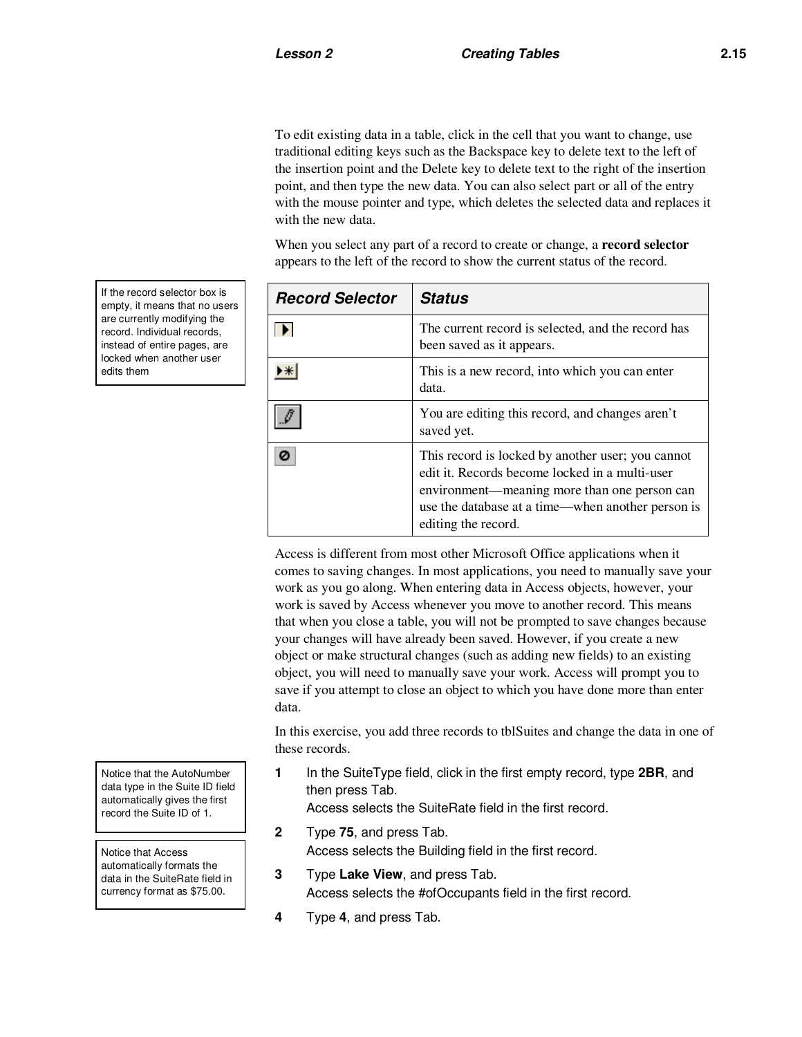To edit existing data in a table, click in the cell that you want to change, use traditional editing keys such as the Backspace key to delete text to the left of the insertion point and the Delete key to delete text to the right of the insertion point, and then type the new data. You can also select part or all of the entry with the mouse pointer and type, which deletes the selected data and replaces it with the new data.

When you select any part of a record to create or change, a **record selector** appears to the left of the record to show the current status of the record.

| <b>Record Selector</b> | <b>Status</b>                                                                                                                                                                                                                   |
|------------------------|---------------------------------------------------------------------------------------------------------------------------------------------------------------------------------------------------------------------------------|
|                        | The current record is selected, and the record has<br>been saved as it appears.                                                                                                                                                 |
|                        | This is a new record, into which you can enter<br>data.                                                                                                                                                                         |
|                        | You are editing this record, and changes aren't<br>saved yet.                                                                                                                                                                   |
|                        | This record is locked by another user; you cannot<br>edit it. Records become locked in a multi-user<br>environment—meaning more than one person can<br>use the database at a time—when another person is<br>editing the record. |

Access is different from most other Microsoft Office applications when it comes to saving changes. In most applications, you need to manually save your work as you go along. When entering data in Access objects, however, your work is saved by Access whenever you move to another record. This means that when you close a table, you will not be prompted to save changes because your changes will have already been saved. However, if you create a new object or make structural changes (such as adding new fields) to an existing object, you will need to manually save your work. Access will prompt you to save if you attempt to close an object to which you have done more than enter data.

In this exercise, you add three records to tblSuites and change the data in one of these records.

**1** In the SuiteType field, click in the first empty record, type **2BR**, and then press Tab.

Access selects the SuiteRate field in the first record.

- **2** Type **75**, and press Tab. Access selects the Building field in the first record.
- **3** Type **Lake View**, and press Tab. Access selects the #ofOccupants field in the first record.
- **4** Type **4**, and press Tab.

If the record selector box is empty, it means that no users are currently modifying the record. Individual records, instead of entire pages, are locked when another user edits them

Notice that the AutoNumber data type in the Suite ID field automatically gives the first record the Suite ID of 1.

Notice that Access automatically formats the data in the SuiteRate field in currency format as \$75.00.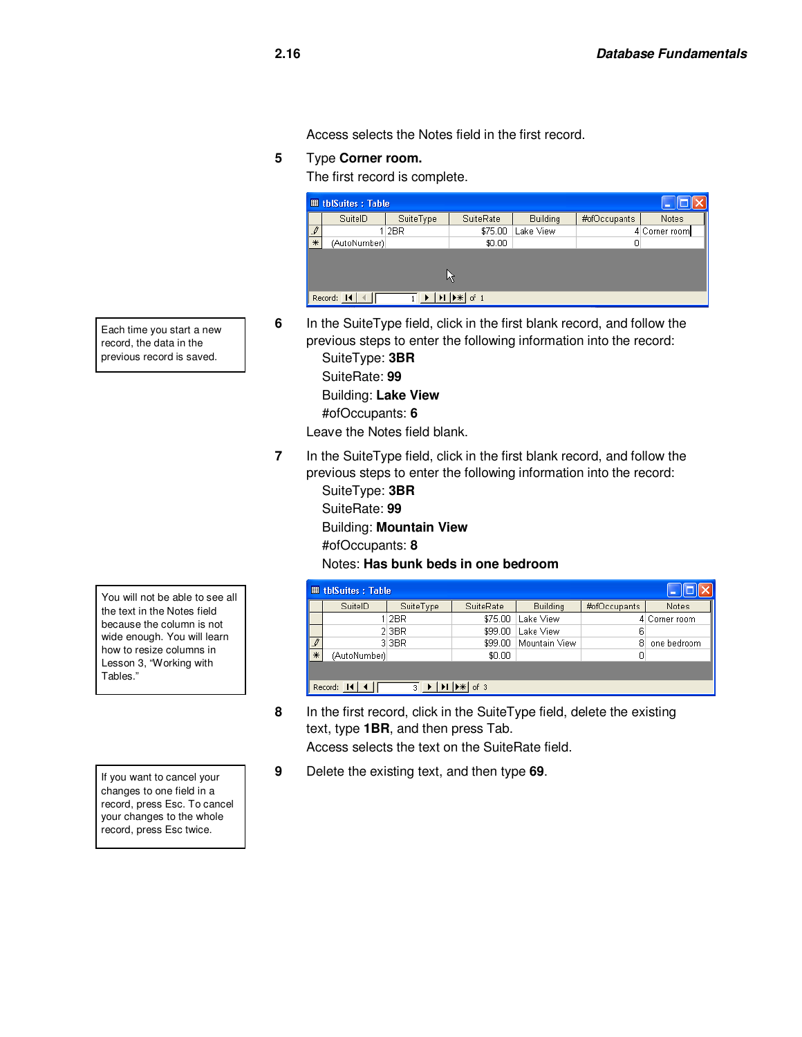Access selects the Notes field in the first record.

#### **5** Type **Corner room.**

The first record is complete.

| <b>Ⅲ tblSuites: Table</b> |                    |           |           |                 |              |               |  |  |
|---------------------------|--------------------|-----------|-----------|-----------------|--------------|---------------|--|--|
|                           | SuitelD            | SuiteType | SuiteRate | <b>Building</b> | #ofOccupants | Notes         |  |  |
| $\mathcal{I}$             |                    | 1 2BR     | \$75.00   | Lake View       |              | 4 Corner room |  |  |
| $\ast$                    | (AutoNumber)       |           | \$0.00    |                 | 0            |               |  |  |
|                           | Record: 14<br>of 1 |           |           |                 |              |               |  |  |

Each time you start a new record, the data in the previous record is saved.

previous steps to enter the following information into the record: SuiteType: **3BR** SuiteRate: **99**  Building: **Lake View**

**6** In the SuiteType field, click in the first blank record, and follow the

#ofOccupants: **6**

Leave the Notes field blank.

**7** In the SuiteType field, click in the first blank record, and follow the previous steps to enter the following information into the record:

SuiteType: **3BR** SuiteRate: **99** Building: **Mountain View**

#ofOccupants: **8**

Notes: **Has bunk beds in one bedroom** 

|                            | <b>Ⅲ tblSuites: Table</b>          |           |           |                 |              |               |  |  |
|----------------------------|------------------------------------|-----------|-----------|-----------------|--------------|---------------|--|--|
|                            | SuitelD                            | SuiteType | SuiteRate | <b>Building</b> | #ofOccupants | Notes         |  |  |
|                            |                                    | 1 2BR     | \$75.00   | Lake View       |              | 4 Corner room |  |  |
|                            |                                    | 2 3BR     | \$99.00   | Lake View       | 6            |               |  |  |
| $\mathbb{L}^{\mathscr{J}}$ |                                    | 33BR      | \$99.00   | Mountain View   | 8            | one bedroom   |  |  |
| ╹⋇                         | (AutoNumber)                       |           | \$0.00    |                 | α            |               |  |  |
| $*$ of 3                   |                                    |           |           |                 |              |               |  |  |
|                            | $\overline{\mathbf{3}}$<br>Record: |           |           |                 |              |               |  |  |

**8** In the first record, click in the SuiteType field, delete the existing text, type **1BR**, and then press Tab.

Access selects the text on the SuiteRate field.

**9** Delete the existing text, and then type **69**.

You will not be able to see all the text in the Notes field because the column is not wide enough. You will learn how to resize columns in Lesson 3, "Working with Tables."

If you want to cancel your changes to one field in a record, press Esc. To cancel your changes to the whole record, press Esc twice.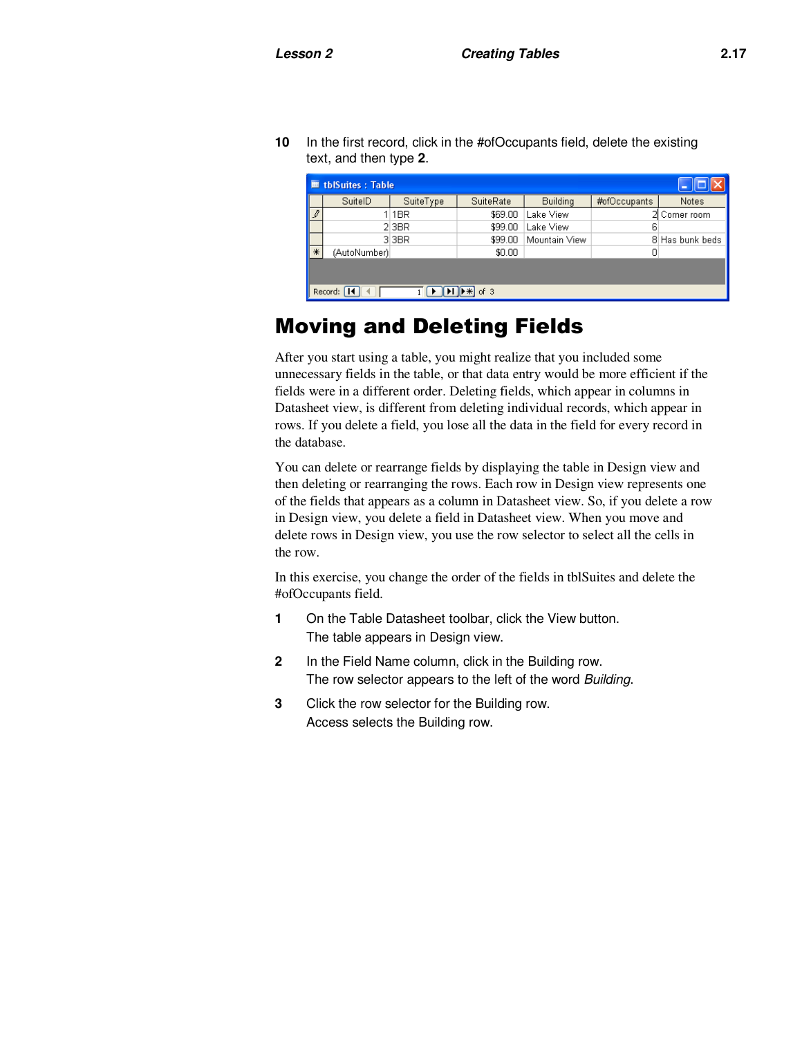**10** In the first record, click in the #ofOccupants field, delete the existing text, and then type **2**.

| <b>■ tblSuites: Table</b>        |                      |           |           |                 |              |                 |  |  |
|----------------------------------|----------------------|-----------|-----------|-----------------|--------------|-----------------|--|--|
|                                  | SuitelD              | SuiteType | SuiteRate | <b>Building</b> | #ofOccupants | <b>Notes</b>    |  |  |
| $\rlap{\hspace{1em}\mathscr{I}}$ |                      | 1 1 BR    | \$69.00   | Lake View       |              | 2 Corner room   |  |  |
|                                  |                      | $2$ 3BR   | \$99.00   | Lake View       | 6            |                 |  |  |
|                                  |                      | 3 3 BR    | \$99.00   | Mountain View   |              | 8 Has bunk beds |  |  |
| $*$                              | (AutoNumber)         |           | \$0.00    |                 | Ο            |                 |  |  |
|                                  |                      |           |           |                 |              |                 |  |  |
|                                  | Record: 14<br>of $3$ |           |           |                 |              |                 |  |  |

# Moving and Deleting Fields

After you start using a table, you might realize that you included some unnecessary fields in the table, or that data entry would be more efficient if the fields were in a different order. Deleting fields, which appear in columns in Datasheet view, is different from deleting individual records, which appear in rows. If you delete a field, you lose all the data in the field for every record in the database.

You can delete or rearrange fields by displaying the table in Design view and then deleting or rearranging the rows. Each row in Design view represents one of the fields that appears as a column in Datasheet view. So, if you delete a row in Design view, you delete a field in Datasheet view. When you move and delete rows in Design view, you use the row selector to select all the cells in the row.

In this exercise, you change the order of the fields in tblSuites and delete the #ofOccupants field.

- **1** On the Table Datasheet toolbar, click the View button. The table appears in Design view.
- **2** In the Field Name column, click in the Building row. The row selector appears to the left of the word *Building*.
- **3** Click the row selector for the Building row. Access selects the Building row.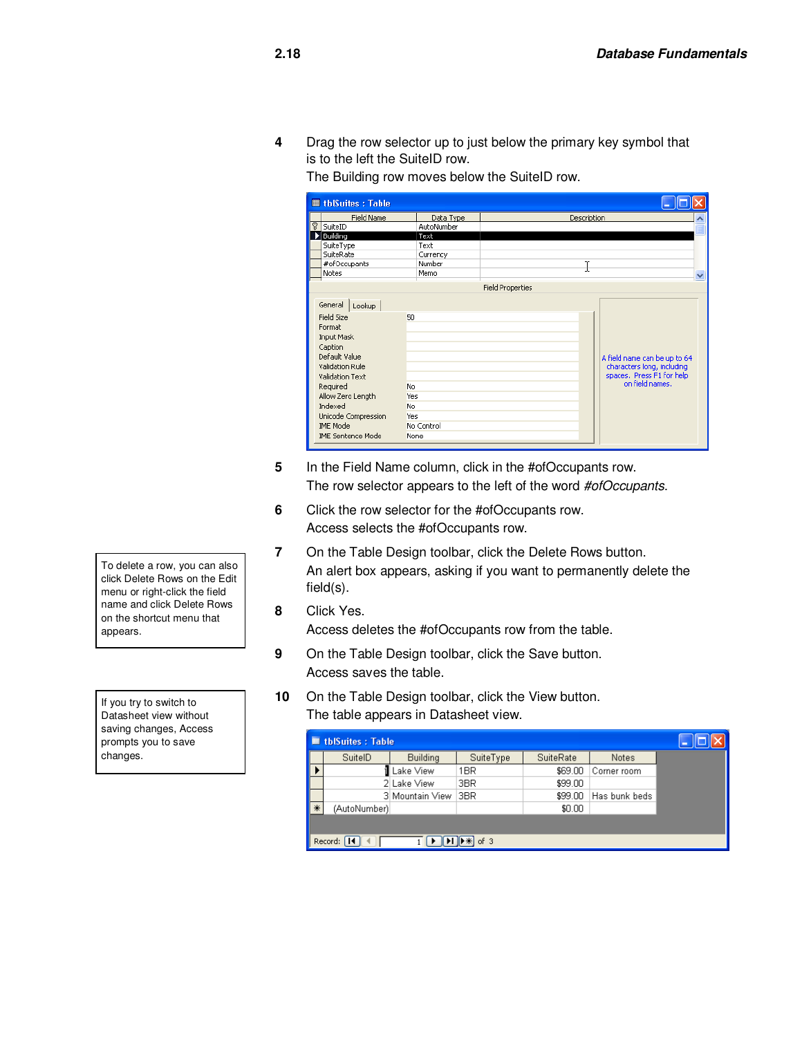**4** Drag the row selector up to just below the primary key symbol that is to the left the SuiteID row.

The Building row moves below the SuiteID row.

|     | <b>■ tblSuites: Table</b>                                                                                                                                                                                                                                                                    |            |                                                                                                            |
|-----|----------------------------------------------------------------------------------------------------------------------------------------------------------------------------------------------------------------------------------------------------------------------------------------------|------------|------------------------------------------------------------------------------------------------------------|
|     | <b>Field Name</b>                                                                                                                                                                                                                                                                            | Data Type  | Description                                                                                                |
| ଟ । | SuiteID                                                                                                                                                                                                                                                                                      | AutoNumber |                                                                                                            |
|     | Building                                                                                                                                                                                                                                                                                     | Text       |                                                                                                            |
|     | SuiteType                                                                                                                                                                                                                                                                                    | Text       |                                                                                                            |
|     | SuiteRate                                                                                                                                                                                                                                                                                    | Currency   |                                                                                                            |
|     | #ofOccupants                                                                                                                                                                                                                                                                                 | Number     |                                                                                                            |
|     | Notes                                                                                                                                                                                                                                                                                        | Memo       | v                                                                                                          |
|     |                                                                                                                                                                                                                                                                                              |            | <b>Field Properties</b>                                                                                    |
|     | General<br>Lookup<br>Field Size<br>50<br>Format<br>Input Mask<br>Caption<br>Default Value<br><b>Validation Rule</b><br>Validation Text<br>Required<br>No.<br>Allow Zero Length<br>Yes<br>Indexed<br>No.<br>Unicode Compression<br>Yes<br><b>IME Mode</b><br><b>IME Sentence Mode</b><br>None | No Control | A field name can be up to 64<br>characters long, including<br>spaces. Press F1 for help<br>on field names. |

- **5** In the Field Name column, click in the #ofOccupants row. The row selector appears to the left of the word *#ofOccupants*.
- **6** Click the row selector for the #ofOccupants row. Access selects the #ofOccupants row.
- **7** On the Table Design toolbar, click the Delete Rows button. An alert box appears, asking if you want to permanently delete the field(s).
- **8** Click Yes.

Access deletes the #ofOccupants row from the table.

- **9** On the Table Design toolbar, click the Save button. Access saves the table.
- **10** On the Table Design toolbar, click the View button. The table appears in Datasheet view.

| <b>■ tblSuites: Table</b> |              |                 |           |           |               |  |  |
|---------------------------|--------------|-----------------|-----------|-----------|---------------|--|--|
|                           | SuitelD      | Building        | SuiteType | SuiteRate | Notes         |  |  |
|                           |              | Lake View       | 1BR       | \$69.00   | Corner room   |  |  |
|                           |              | 2 Lake View     | 3BR       | \$99.00   |               |  |  |
|                           |              | 3 Mountain View | 3BR       | \$99.00   | Has bunk beds |  |  |
| $*$                       | (AutoNumber) |                 |           | \$0.00    |               |  |  |
|                           |              |                 |           |           |               |  |  |
| $*$ of 3<br>Record:       |              |                 |           |           |               |  |  |

To delete a row, you can also click Delete Rows on the Edit menu or right-click the field name and click Delete Rows on the shortcut menu that appears.

If you try to switch to Datasheet view without saving changes, Access prompts you to save changes.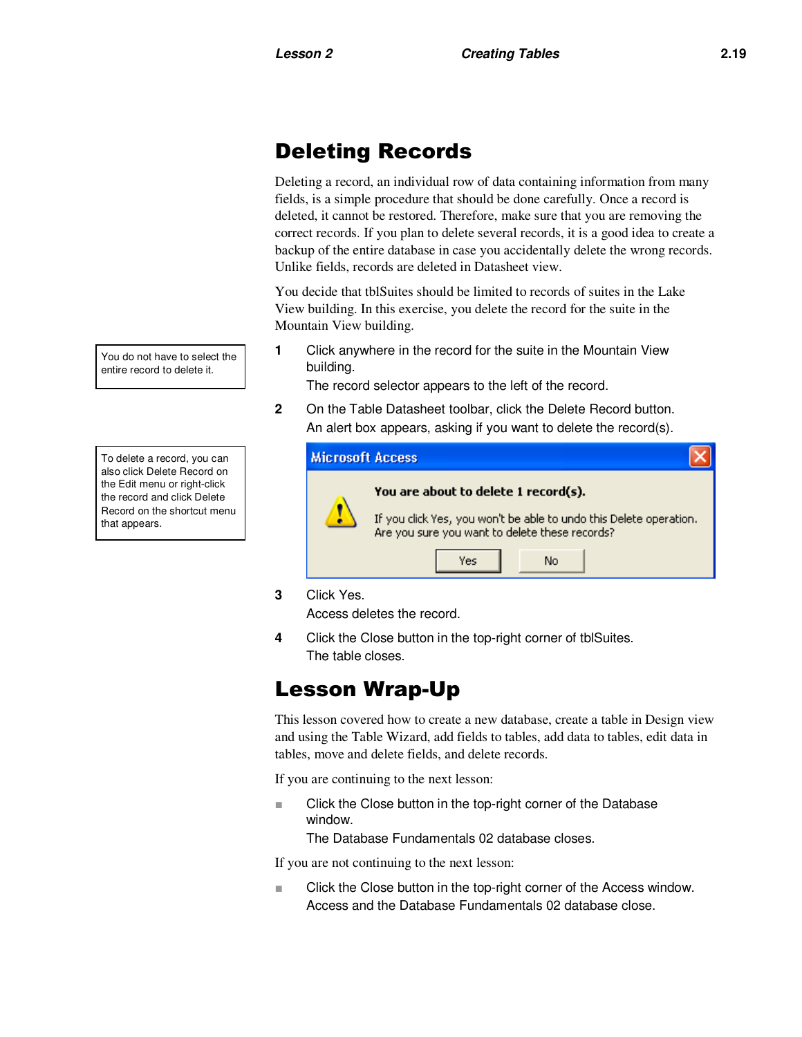# Deleting Records

Deleting a record, an individual row of data containing information from many fields, is a simple procedure that should be done carefully. Once a record is deleted, it cannot be restored. Therefore, make sure that you are removing the correct records. If you plan to delete several records, it is a good idea to create a backup of the entire database in case you accidentally delete the wrong records. Unlike fields, records are deleted in Datasheet view.

You decide that tblSuites should be limited to records of suites in the Lake View building. In this exercise, you delete the record for the suite in the Mountain View building.

**1** Click anywhere in the record for the suite in the Mountain View building.

The record selector appears to the left of the record.

**2** On the Table Datasheet toolbar, click the Delete Record button. An alert box appears, asking if you want to delete the record(s).

| <b>Microsoft Access</b> |                                                                                                                      |
|-------------------------|----------------------------------------------------------------------------------------------------------------------|
|                         | You are about to delete 1 record(s).                                                                                 |
|                         | If you click Yes, you won't be able to undo this Delete operation.<br>Are you sure you want to delete these records? |
|                         | Yes<br>No                                                                                                            |

**3** Click Yes.

Access deletes the record.

**4** Click the Close button in the top-right corner of tblSuites. The table closes.

# Lesson Wrap-Up

This lesson covered how to create a new database, create a table in Design view and using the Table Wizard, add fields to tables, add data to tables, edit data in tables, move and delete fields, and delete records.

If you are continuing to the next lesson:

■ Click the Close button in the top-right corner of the Database window.

The Database Fundamentals 02 database closes.

If you are not continuing to the next lesson:

■ Click the Close button in the top-right corner of the Access window. Access and the Database Fundamentals 02 database close.

You do not have to select the entire record to delete it.

To delete a record, you can also click Delete Record on the Edit menu or right-click the record and click Delete Record on the shortcut menu that appears.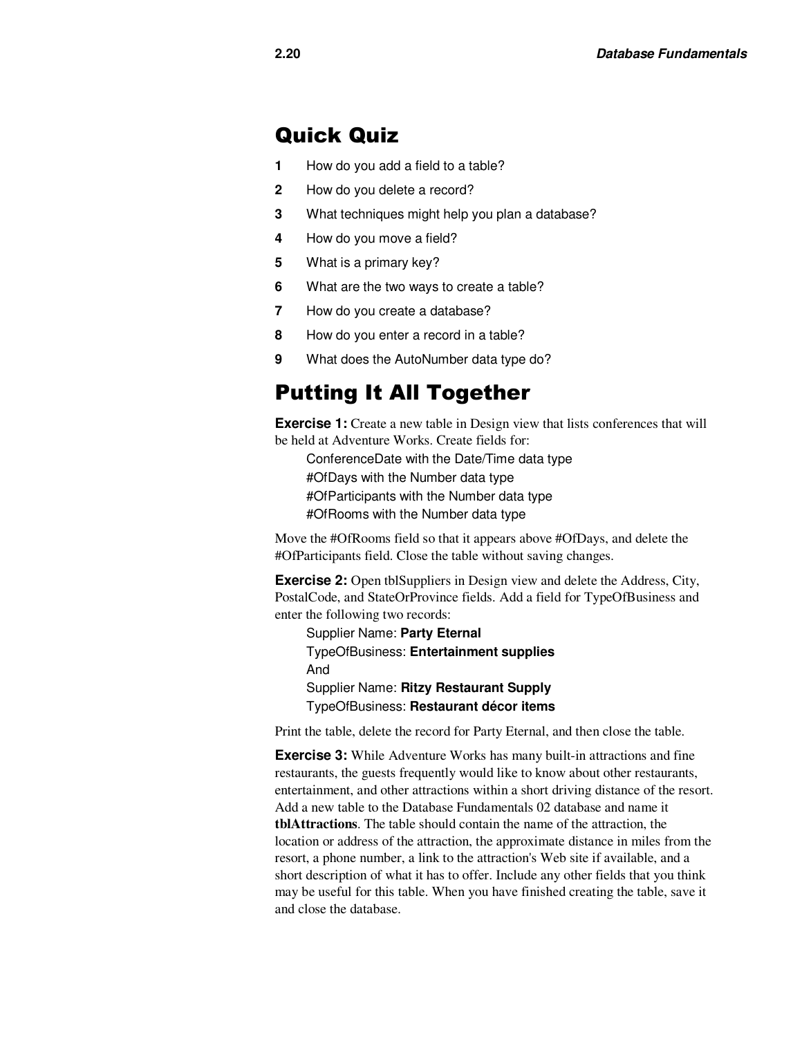### Quick Quiz

- **1** How do you add a field to a table?
- **2** How do you delete a record?
- **3** What techniques might help you plan a database?
- **4** How do you move a field?
- **5** What is a primary key?
- **6** What are the two ways to create a table?
- **7** How do you create a database?
- **8** How do you enter a record in a table?
- **9** What does the AutoNumber data type do?

### Putting It All Together

**Exercise 1:** Create a new table in Design view that lists conferences that will be held at Adventure Works. Create fields for:

ConferenceDate with the Date/Time data type #OfDays with the Number data type #OfParticipants with the Number data type #OfRooms with the Number data type

Move the #OfRooms field so that it appears above #OfDays, and delete the #OfParticipants field. Close the table without saving changes.

**Exercise 2:** Open tblSuppliers in Design view and delete the Address, City, PostalCode, and StateOrProvince fields. Add a field for TypeOfBusiness and enter the following two records:

Supplier Name: **Party Eternal** TypeOfBusiness: **Entertainment supplies** And Supplier Name: **Ritzy Restaurant Supply** TypeOfBusiness: **Restaurant décor items**

Print the table, delete the record for Party Eternal, and then close the table.

**Exercise 3:** While Adventure Works has many built-in attractions and fine restaurants, the guests frequently would like to know about other restaurants, entertainment, and other attractions within a short driving distance of the resort. Add a new table to the Database Fundamentals 02 database and name it **tblAttractions**. The table should contain the name of the attraction, the location or address of the attraction, the approximate distance in miles from the resort, a phone number, a link to the attraction's Web site if available, and a short description of what it has to offer. Include any other fields that you think may be useful for this table. When you have finished creating the table, save it and close the database.